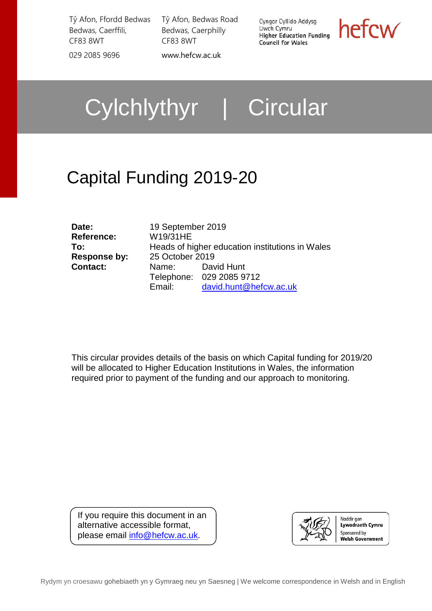Tŷ Afon, Ffordd Bedwas Bedwas, Caerffili, CF83 8WT 029 2085 9696 [www.hefcw.ac.uk](http://www.hefcw.ac.uk/)

Tŷ Afon, Bedwas Road Bedwas, Caerphilly CF83 8WT

Cyngor Cyllido Addysg Uwch Cymru **Higher Education Funding Council for Wales** 



Cylchlythyr | Circular

# Capital Funding 2019-20

| Date:               |
|---------------------|
| <b>Reference:</b>   |
| To:                 |
| <b>Response by:</b> |
| <b>Contact:</b>     |
|                     |

**Date:** 19 September 2019 **Reference:** W19/31HE **To:** Heads of higher education institutions in Wales **Response by:** 25 October 2019 **Contact:** Name: David Hunt Telephone: 029 2085 9712 Email: [david.hunt@hefcw.ac.uk](mailto:david.hunt@hefcw.ac.uk)

This circular provides details of the basis on which Capital funding for 2019/20 will be allocated to Higher Education Institutions in Wales, the information required prior to payment of the funding and our approach to monitoring.

If you require this document in an alternative accessible format, please email [info@hefcw.ac.uk.](mailto:info@hefcw.ac.uk)

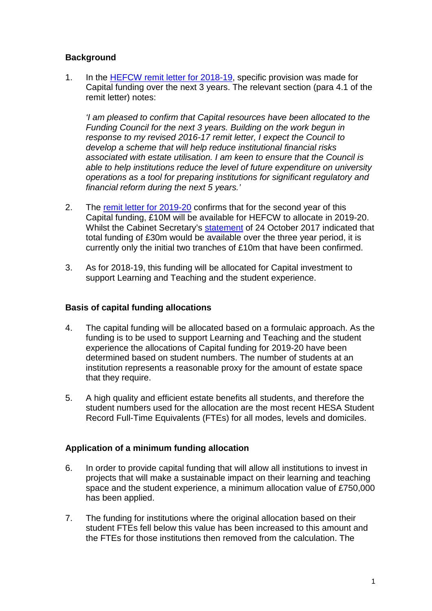### **Background**

1. In the [HEFCW remit letter for 2018-19,](http://www.hefcw.ac.uk/documents/about_he_in_wales/WG_priorities_and_policies/2018-19%20Remit%20Letter.pdf) specific provision was made for Capital funding over the next 3 years. The relevant section (para 4.1 of the remit letter) notes:

*'I am pleased to confirm that Capital resources have been allocated to the Funding Council for the next 3 years. Building on the work begun in response to my revised 2016-17 remit letter, I expect the Council to develop a scheme that will help reduce institutional financial risks associated with estate utilisation. I am keen to ensure that the Council is able to help institutions reduce the level of future expenditure on university operations as a tool for preparing institutions for significant regulatory and financial reform during the next 5 years.'*

- 2. The [remit letter for 2019-20](https://www.hefcw.ac.uk/documents/about_he_in_wales/WG_priorities_and_policies/HEFCW%20Remit%20Letter%202019-20%20Final.pdf) confirms that for the second year of this Capital funding, £10M will be available for HEFCW to allocate in 2019-20. Whilst the Cabinet Secretary's [statement](https://gov.wales/newsroom/educationandskills/2017/investing-in-the-skills-of-the-future-for-an-ambitious-and-learning-wales/?lang=en) of 24 October 2017 indicated that total funding of £30m would be available over the three year period, it is currently only the initial two tranches of £10m that have been confirmed.
- 3. As for 2018-19, this funding will be allocated for Capital investment to support Learning and Teaching and the student experience.

#### **Basis of capital funding allocations**

- 4. The capital funding will be allocated based on a formulaic approach. As the funding is to be used to support Learning and Teaching and the student experience the allocations of Capital funding for 2019-20 have been determined based on student numbers. The number of students at an institution represents a reasonable proxy for the amount of estate space that they require.
- 5. A high quality and efficient estate benefits all students, and therefore the student numbers used for the allocation are the most recent HESA Student Record Full-Time Equivalents (FTEs) for all modes, levels and domiciles.

#### **Application of a minimum funding allocation**

- 6. In order to provide capital funding that will allow all institutions to invest in projects that will make a sustainable impact on their learning and teaching space and the student experience, a minimum allocation value of £750,000 has been applied.
- 7. The funding for institutions where the original allocation based on their student FTEs fell below this value has been increased to this amount and the FTEs for those institutions then removed from the calculation. The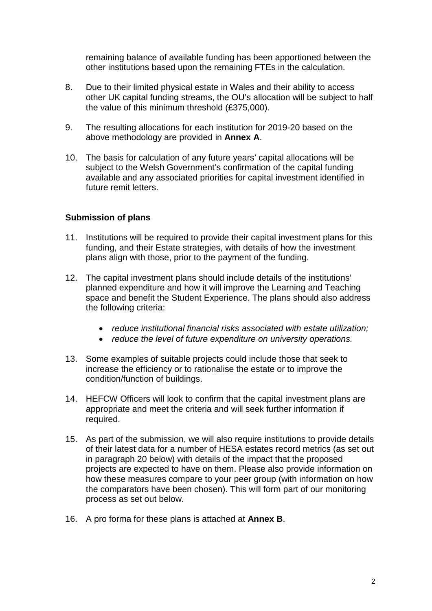remaining balance of available funding has been apportioned between the other institutions based upon the remaining FTEs in the calculation.

- 8. Due to their limited physical estate in Wales and their ability to access other UK capital funding streams, the OU's allocation will be subject to half the value of this minimum threshold (£375,000).
- 9. The resulting allocations for each institution for 2019-20 based on the above methodology are provided in **Annex A**.
- 10. The basis for calculation of any future years' capital allocations will be subject to the Welsh Government's confirmation of the capital funding available and any associated priorities for capital investment identified in future remit letters.

#### **Submission of plans**

- 11. Institutions will be required to provide their capital investment plans for this funding, and their Estate strategies, with details of how the investment plans align with those, prior to the payment of the funding.
- 12. The capital investment plans should include details of the institutions' planned expenditure and how it will improve the Learning and Teaching space and benefit the Student Experience. The plans should also address the following criteria:
	- *reduce institutional financial risks associated with estate utilization;*
	- *reduce the level of future expenditure on university operations.*
- 13. Some examples of suitable projects could include those that seek to increase the efficiency or to rationalise the estate or to improve the condition/function of buildings.
- 14. HEFCW Officers will look to confirm that the capital investment plans are appropriate and meet the criteria and will seek further information if required.
- 15. As part of the submission, we will also require institutions to provide details of their latest data for a number of HESA estates record metrics (as set out in paragraph 20 below) with details of the impact that the proposed projects are expected to have on them. Please also provide information on how these measures compare to your peer group (with information on how the comparators have been chosen). This will form part of our monitoring process as set out below.
- 16. A pro forma for these plans is attached at **Annex B**.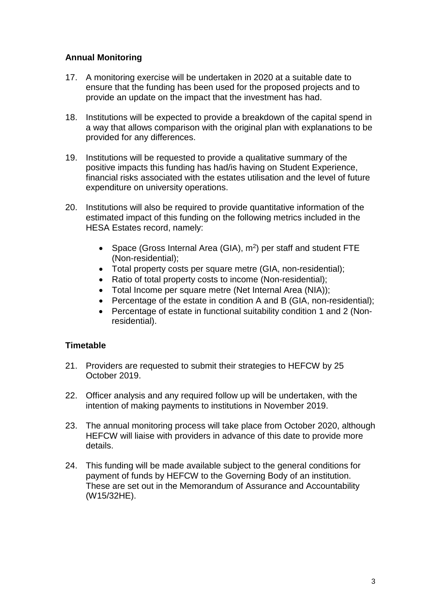## **Annual Monitoring**

- 17. A monitoring exercise will be undertaken in 2020 at a suitable date to ensure that the funding has been used for the proposed projects and to provide an update on the impact that the investment has had.
- 18. Institutions will be expected to provide a breakdown of the capital spend in a way that allows comparison with the original plan with explanations to be provided for any differences.
- 19. Institutions will be requested to provide a qualitative summary of the positive impacts this funding has had/is having on Student Experience, financial risks associated with the estates utilisation and the level of future expenditure on university operations.
- 20. Institutions will also be required to provide quantitative information of the estimated impact of this funding on the following metrics included in the HESA Estates record, namely:
	- Space (Gross Internal Area (GIA),  $m^2$ ) per staff and student FTE (Non-residential);
	- Total property costs per square metre (GIA, non-residential);
	- Ratio of total property costs to income (Non-residential);
	- Total Income per square metre (Net Internal Area (NIA));
	- Percentage of the estate in condition A and B (GIA, non-residential);
	- Percentage of estate in functional suitability condition 1 and 2 (Nonresidential).

## **Timetable**

- 21. Providers are requested to submit their strategies to HEFCW by 25 October 2019.
- 22. Officer analysis and any required follow up will be undertaken, with the intention of making payments to institutions in November 2019.
- 23. The annual monitoring process will take place from October 2020, although HEFCW will liaise with providers in advance of this date to provide more details.
- 24. This funding will be made available subject to the general conditions for payment of funds by HEFCW to the Governing Body of an institution. These are set out in the Memorandum of Assurance and Accountability [\(W15/32HE\).](http://www.hefcw.ac.uk/documents/publications/circulars/circulars_2015/W15%2032HE%20Memorandum%20of%20Assurance%20and%20Accountability.pdf)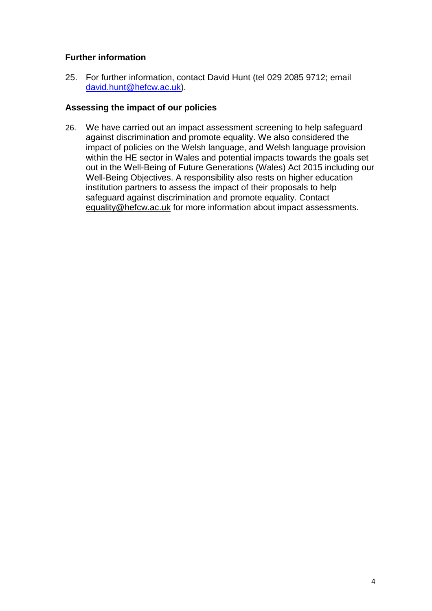## **Further information**

25. For further information, contact David Hunt (tel 029 2085 9712; email [david.hunt@hefcw.ac.uk\)](mailto:david.hunt@hefcw.ac.uk).

#### **Assessing the impact of our policies**

26. We have carried out an impact assessment screening to help safeguard against discrimination and promote equality. We also considered the impact of policies on the Welsh language, and Welsh language provision within the HE sector in Wales and potential impacts towards the goals set out in the Well-Being of Future Generations (Wales) Act 2015 including our Well-Being Objectives. A responsibility also rests on higher education institution partners to assess the impact of their proposals to help safeguard against discrimination and promote equality. Contact [equality@hefcw.ac.uk](mailto:equality@hefcw.ac.uk) for more information about impact assessments.